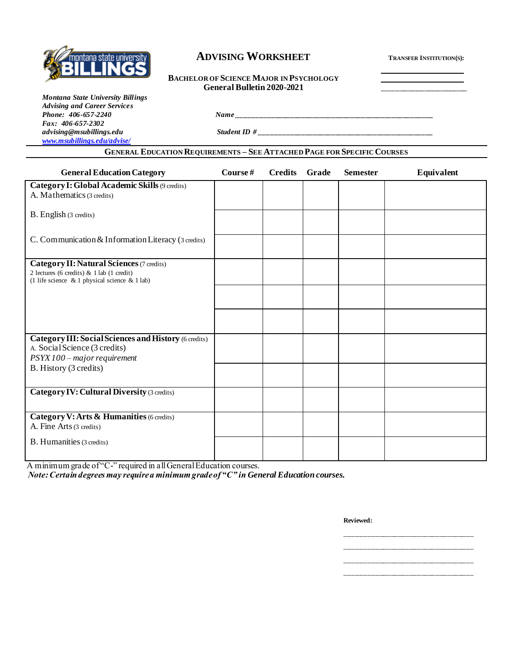

# **ADVISING WORKSHEET <sup>T</sup>RANSFER INSTITUTION(S):**

#### **BACHELOR OF SCIENCE MAJOR IN PSYCHOLOGY General Bulletin 2020-2021** \_\_\_\_\_\_\_\_\_\_\_\_\_\_\_\_\_\_\_\_

*Montana State University Billings Advising and Career Services Fax: 406-657-2302 advising@msubillings.edu Student ID # \_\_\_\_\_\_\_\_\_\_\_\_\_\_\_\_\_\_\_\_\_\_\_\_\_\_\_\_\_\_\_\_\_\_\_\_\_\_\_\_\_\_\_\_\_\_ [www.msubillings.edu/advise/](http://www.msubillings.edu/advise/)*

*Phone: 406-657-2240 Name \_\_\_\_\_\_\_\_\_\_\_\_\_\_\_\_\_\_\_\_\_\_\_\_\_\_\_\_\_\_\_\_\_\_\_\_\_\_\_\_\_\_\_\_\_\_\_\_\_\_\_\_*

### **GENERAL EDUCATION REQUIREMENTS – SEE ATTACHED PAGE FOR SPECIFIC COURSES**

| <b>General Education Category</b>                                                                | Course# | <b>Credits</b> | Grade | <b>Semester</b> | Equivalent |
|--------------------------------------------------------------------------------------------------|---------|----------------|-------|-----------------|------------|
| Category I: Global Academic Skills (9 credits)<br>A. Mathematics (3 credits)                     |         |                |       |                 |            |
| B. English (3 credits)                                                                           |         |                |       |                 |            |
|                                                                                                  |         |                |       |                 |            |
| C. Communication & Information Literacy (3 credits)                                              |         |                |       |                 |            |
| <b>Category II: Natural Sciences (7 credits)</b>                                                 |         |                |       |                 |            |
| 2 lectures (6 credits) & 1 lab (1 credit)<br>(1 life science $\&$ 1 physical science $\&$ 1 lab) |         |                |       |                 |            |
|                                                                                                  |         |                |       |                 |            |
|                                                                                                  |         |                |       |                 |            |
|                                                                                                  |         |                |       |                 |            |
| <b>Category III: Social Sciences and History (6 credits)</b><br>A. Social Science (3 credits)    |         |                |       |                 |            |
| PSYX 100 - major requirement                                                                     |         |                |       |                 |            |
| B. History (3 credits)                                                                           |         |                |       |                 |            |
|                                                                                                  |         |                |       |                 |            |
| <b>Category IV: Cultural Diversity (3 credits)</b>                                               |         |                |       |                 |            |
|                                                                                                  |         |                |       |                 |            |
| Category V: Arts & Humanities (6 credits)<br>A. Fine Arts (3 credits)                            |         |                |       |                 |            |
| <b>B.</b> Humanities (3 credits)                                                                 |         |                |       |                 |            |
|                                                                                                  |         |                |       |                 |            |

A minimum grade of "C-" required in all General Education courses.

*Note: Certain degrees may require a minimum grade of "C" in General Education courses.*

**Reviewed:**

\_\_\_\_\_\_\_\_\_\_\_\_\_\_\_\_\_\_\_\_\_\_\_\_\_\_\_\_\_\_\_\_\_\_ \_\_\_\_\_\_\_\_\_\_\_\_\_\_\_\_\_\_\_\_\_\_\_\_\_\_\_\_\_\_\_\_\_\_ \_\_\_\_\_\_\_\_\_\_\_\_\_\_\_\_\_\_\_\_\_\_\_\_\_\_\_\_\_\_\_\_\_\_ \_\_\_\_\_\_\_\_\_\_\_\_\_\_\_\_\_\_\_\_\_\_\_\_\_\_\_\_\_\_\_\_\_\_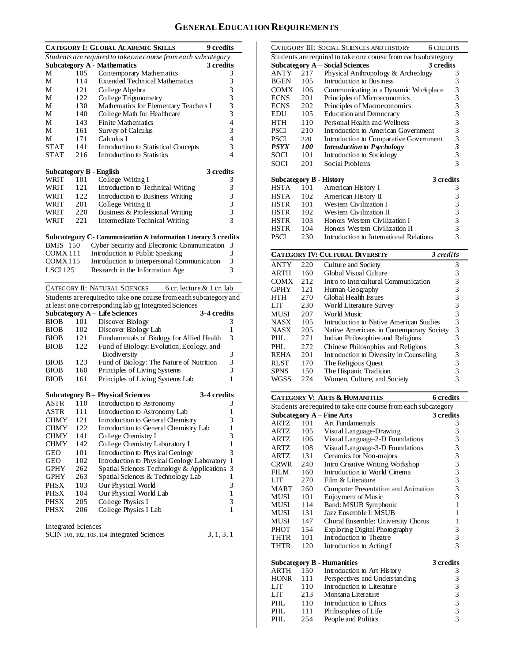# **GENERAL EDUCATION REQUIREMENTS**

|                     |     | <b>CATEGORY I: GLOBAL ACADEMIC SKILLS</b>                                | 9 credits                                  |
|---------------------|-----|--------------------------------------------------------------------------|--------------------------------------------|
|                     |     | Students are required to take one course from each subcategory           |                                            |
|                     |     | <b>Subcategory A - Mathematics</b>                                       | 3 credits                                  |
| М                   | 105 | Contemporary Mathematics                                                 | 3                                          |
| М                   | 114 | <b>Extended Technical Mathematics</b>                                    | 3                                          |
| М                   | 121 | College Algebra                                                          | 3                                          |
| М                   | 122 | College Trigonometry                                                     | 3                                          |
| М                   | 130 | Mathematics for Elementary Teachers I                                    | 3                                          |
| М                   | 140 | College Math for Healthcare                                              | 3                                          |
| М                   | 143 | <b>Finite Mathematics</b>                                                | $\overline{4}$                             |
| М                   | 161 | Survey of Calculus                                                       | 3                                          |
| М                   | 171 | Calculus I                                                               | 4                                          |
| <b>STAT</b>         | 141 | Introduction to Statistical Concepts                                     | 3                                          |
| STAT                | 216 | Introduction to Statistics                                               | 4                                          |
|                     |     |                                                                          |                                            |
|                     |     | Subcategory B - English                                                  | 3 credits                                  |
| WRIT                | 101 | College Writing I                                                        | 3                                          |
| WRIT                | 121 | Introduction to Technical Writing                                        | 3                                          |
| WRIT                | 122 | Introduction to Business Writing                                         | 3                                          |
| WRIT                | 201 | College Writing II                                                       |                                            |
| WRIT                | 220 | Business & Professional Writing                                          | $\begin{array}{c} 3 \\ 3 \\ 3 \end{array}$ |
| WRIT                | 221 | Intermediate Technical Writing                                           |                                            |
|                     |     |                                                                          |                                            |
|                     |     | <b>Subcategory C- Communication &amp; Information Literacy 3 credits</b> |                                            |
| <b>BMIS</b> 150     |     | Cyber Security and Electronic Communication                              | 3                                          |
| COMX 111            |     | Introduction to Public Speaking                                          | 3                                          |
| COMX115             |     | Introduction to Interpersonal Communication                              | 3                                          |
| <b>LSCI 125</b>     |     | Research in the Information Age                                          | 3                                          |
|                     |     | CATEGORY II: NATURAL SCIENCES<br>6 cr. lecture & 1 cr. lab               |                                            |
|                     |     | Students are required to take one course from each subcategory and       |                                            |
|                     |     | at least one corresponding lab or Integrated Sciences                    |                                            |
|                     |     | <b>Subcategory A - Life Sciences</b><br>3-4 credits                      |                                            |
| <b>BIOB</b>         | 101 | Discover Biology                                                         | 3                                          |
| <b>BIOB</b>         | 102 | Discover Biology Lab                                                     | 1                                          |
| <b>BIOB</b>         | 121 | Fundamentals of Biology for Allied Health                                | 3                                          |
| <b>BIOB</b>         | 122 | Fund of Biology: Evolution, Ecology, and                                 |                                            |
|                     |     | Biodiversity                                                             | 3                                          |
| <b>BIOB</b>         | 123 | Fund of Biology: The Nature of Nutrition                                 | 3                                          |
| <b>BIOB</b>         | 160 | Principles of Living Systems                                             | 3                                          |
| <b>BIOB</b>         | 161 | Principles of Living Systems Lab                                         | 1                                          |
|                     |     |                                                                          |                                            |
|                     |     | 3-4 credits<br><b>Subcategory B - Physical Sciences</b>                  |                                            |
| ASTR                | 110 | Introduction to Astronomy                                                | 3                                          |
| ASTR                | 111 | Introduction to Astronomy Lab                                            | 1                                          |
| CHMY                | 121 | Introduction to General Chemistry                                        | 3                                          |
| <b>CHMY</b>         | 122 | Introduction to General Chemistry Lab                                    | 1                                          |
| <b>CHMY</b>         | 141 | College Chemistry I                                                      | 3                                          |
| CHMY                | 142 | College Chemistry Laboratory I                                           | 1                                          |
| <b>GEO</b>          | 101 | Introduction to Physical Geology                                         | 3                                          |
| <b>GEO</b>          | 102 | Introduction to Physical Geology Laboratory                              | 1                                          |
| GPHY                | 262 | Spatial Sciences Technology & Applications                               | 3                                          |
| GPHY                | 263 | Spatial Sciences & Technology Lab                                        | 1                                          |
| <b>PHSX</b>         | 103 | Our Physical World                                                       | 3                                          |
| PHSX                | 104 | Our Physical World Lab                                                   | 1                                          |
| <b>PHSX</b>         | 205 | College Physics I                                                        | 3                                          |
| PHSX                | 206 | College Physics I Lab                                                    | 1                                          |
|                     |     |                                                                          |                                            |
| Integrated Sciences |     |                                                                          |                                            |
|                     |     | SCIN 101, 102, 103, 104 Integrated Sciences                              | 3, 1, 3, 1                                 |
|                     |     |                                                                          |                                            |
|                     |     |                                                                          |                                            |

|             |                                                                | CATEGORY III: SOCIAL SCIENCES AND HISTORY    | <b>6 CREDITS</b>        |  |  |  |
|-------------|----------------------------------------------------------------|----------------------------------------------|-------------------------|--|--|--|
|             | Students are required to take one course from each subcategory |                                              |                         |  |  |  |
|             |                                                                | Subcategory A – Social Sciences<br>3 credits |                         |  |  |  |
| ANTY        | 217                                                            | Physical Anthropology & Archeology           | 3                       |  |  |  |
| <b>BGEN</b> | 105                                                            | Introduction to Business                     | 3                       |  |  |  |
| COMX        | 106                                                            | Communicating in a Dynamic Workplace         | $\frac{3}{3}$           |  |  |  |
| <b>ECNS</b> | 201                                                            | Principles of Microeconomics                 |                         |  |  |  |
| <b>ECNS</b> | 202                                                            | Principles of Macroeconomics                 | 3                       |  |  |  |
| EDU         | 105                                                            | <b>Education and Democracy</b>               | 3                       |  |  |  |
| <b>HTH</b>  | 110                                                            | Personal Health and Wellness                 | 3                       |  |  |  |
| PSCI        | 210                                                            | Introduction to American Government          | 3                       |  |  |  |
| PSCI        | 220                                                            | Introduction to Comparative Government       | 3                       |  |  |  |
| <i>PSYX</i> | <i>100</i>                                                     | <b>Introduction to Psychology</b>            | 3                       |  |  |  |
| SOCI        | 101                                                            | Introduction to Sociology                    | 3                       |  |  |  |
| SOCI        | 201                                                            | Social Problems                              | 3                       |  |  |  |
|             |                                                                |                                              |                         |  |  |  |
|             |                                                                | <b>Subcategory B - History</b>               | 3 credits               |  |  |  |
| <b>HSTA</b> | 101                                                            | American History I                           | 3                       |  |  |  |
| HSTA        | 102                                                            | American History II                          | 3                       |  |  |  |
| <b>HSTR</b> | 101                                                            | Western Civilization I                       | $\overline{\mathbf{3}}$ |  |  |  |
| HSTR        | 102                                                            | Western Civilization II                      | $\overline{\mathbf{3}}$ |  |  |  |
| <b>HSTR</b> | 103                                                            | Honors Western Civilization I                | 3                       |  |  |  |
| <b>HSTR</b> | 104                                                            | Honors Western Civilization II               | 3                       |  |  |  |
| <b>PSCI</b> | 230                                                            | Introduction to International Relations      | 3                       |  |  |  |
|             |                                                                |                                              |                         |  |  |  |

|             | <b>CATEGORY IV: CULTURAL DIVERSITY</b> | 3 credits                                |   |
|-------------|----------------------------------------|------------------------------------------|---|
| <b>ANTY</b> | 220                                    | Culture and Society                      | 3 |
| <b>ARTH</b> | 160                                    | Global Visual Culture                    | 3 |
| <b>COMX</b> | 212                                    | Intro to Intercultural Communication     | 3 |
| <b>GPHY</b> | 121                                    | Human Geography                          | 3 |
| <b>HTH</b>  | 270                                    | Global Health Issues                     | 3 |
| LIT         | 230                                    | World Literature Survey                  | 3 |
| <b>MUSI</b> | 207                                    | World Music                              | 3 |
| <b>NASX</b> | 105                                    | Introduction to Native American Studies  | 3 |
| <b>NASX</b> | 205                                    | Native Americans in Contemporary Society | 3 |
| <b>PHL</b>  | 271                                    | Indian Philosophies and Religions        | 3 |
| PHL         | 272                                    | Chinese Philosophies and Religions       | 3 |
| <b>REHA</b> | 201                                    | Introduction to Diversity in Counseling  | 3 |
| <b>RLST</b> | 170                                    | The Religious Ouest                      | 3 |
| <b>SPNS</b> | 150                                    | The Hispanic Tradition                   | 3 |
| WGSS        | 274                                    | Women, Culture, and Society              | 3 |

|                                                                |     | <b>CATEGORY V: ARTS &amp; HUMANITIES</b> | <b>6</b> credits                           |  |  |  |
|----------------------------------------------------------------|-----|------------------------------------------|--------------------------------------------|--|--|--|
| Students are required to take one course from each subcategory |     |                                          |                                            |  |  |  |
|                                                                |     | Subcategory $A$ – Fine Arts              | 3 credits                                  |  |  |  |
| <b>ARTZ</b>                                                    | 101 | Art Fundamentals                         | 3                                          |  |  |  |
| ARTZ                                                           | 105 | Visual Language-Drawing                  | $\frac{3}{3}$                              |  |  |  |
| ARTZ.                                                          | 106 | Visual Language-2-D Foundations          |                                            |  |  |  |
| ARTZ.                                                          | 108 | Visual Language-3-D Foundations          | $\begin{array}{c} 3 \\ 3 \\ 3 \end{array}$ |  |  |  |
| ARTZ                                                           | 131 | Ceramics for Non-majors                  |                                            |  |  |  |
| CRWR                                                           | 240 | Intro Creative Writing Workshop          |                                            |  |  |  |
| FILM                                                           | 160 | Introduction to World Cinema             | 3                                          |  |  |  |
| LIT                                                            | 270 | Film & Literature                        | $\overline{\mathbf{3}}$                    |  |  |  |
| <b>MART</b>                                                    | 260 | Computer Presentation and Animation      | 3                                          |  |  |  |
| MUSI                                                           | 101 | Enjoyment of Music                       | 3                                          |  |  |  |
| MUSI                                                           | 114 | Band: MSUB Symphonic                     | $\mathbf{1}$                               |  |  |  |
| MUSI                                                           | 131 | Jazz Ensemble I: MSUB                    | 1                                          |  |  |  |
| MUSI                                                           | 147 | Choral Ensemble: University Chorus       | 1                                          |  |  |  |
| <b>PHOT</b>                                                    | 154 | Exploring Digital Photography            | 3                                          |  |  |  |
| <b>THTR</b>                                                    | 101 | Introduction to Theatre                  | $\overline{\mathbf{3}}$                    |  |  |  |
| <b>THTR</b>                                                    | 120 | Introduction to Acting I                 | $\overline{3}$                             |  |  |  |
|                                                                |     |                                          |                                            |  |  |  |
|                                                                |     | <b>Subcategory B - Humanities</b>        | 3 credits                                  |  |  |  |
| <b>ARTH</b>                                                    | 150 | Introduction to Art History              | 3                                          |  |  |  |
| <b>HONR</b>                                                    | 111 | Perspectives and Understanding           | $\begin{array}{c} 3 \\ 3 \\ 3 \end{array}$ |  |  |  |
| LIT                                                            | 110 | Introduction to Literature               |                                            |  |  |  |
| LIT <sub>1</sub>                                               | 213 | Montana Literature                       |                                            |  |  |  |
| PHL.                                                           | 110 | Introduction to Ethics                   | $\frac{3}{3}$                              |  |  |  |
| PHI.                                                           | 111 | Philosophies of Life                     |                                            |  |  |  |
| PHL                                                            | 254 | People and Politics                      | $\overline{3}$                             |  |  |  |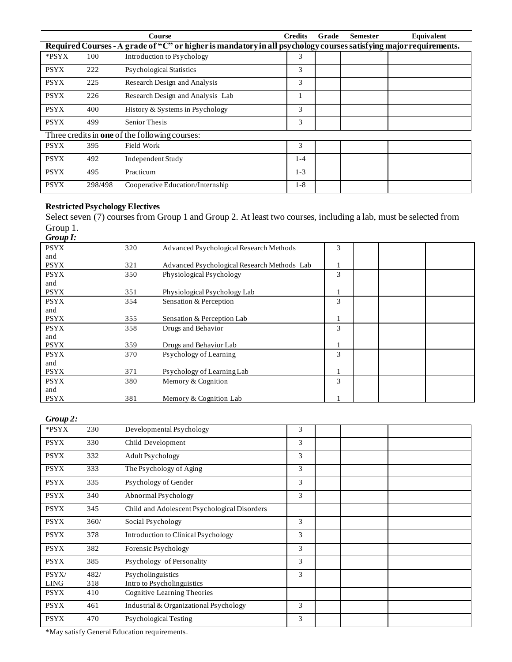|             |                                                                                                                   | Course                                         | <b>Credits</b> | Grade | <b>Semester</b> | Equivalent |  |  |
|-------------|-------------------------------------------------------------------------------------------------------------------|------------------------------------------------|----------------|-------|-----------------|------------|--|--|
|             | Required Courses - A grade of "C" or higher is mandatory in all psychology courses satisfying major requirements. |                                                |                |       |                 |            |  |  |
| *PSYX       | 100                                                                                                               | Introduction to Psychology                     | 3              |       |                 |            |  |  |
| <b>PSYX</b> | 222                                                                                                               | Psychological Statistics                       | 3              |       |                 |            |  |  |
| <b>PSYX</b> | 225                                                                                                               | Research Design and Analysis                   | 3              |       |                 |            |  |  |
| <b>PSYX</b> | 226                                                                                                               | Research Design and Analysis Lab               |                |       |                 |            |  |  |
| <b>PSYX</b> | 400                                                                                                               | History & Systems in Psychology                | 3              |       |                 |            |  |  |
| <b>PSYX</b> | 499                                                                                                               | Senior Thesis                                  | 3              |       |                 |            |  |  |
|             |                                                                                                                   | Three credits in one of the following courses: |                |       |                 |            |  |  |
| <b>PSYX</b> | 395                                                                                                               | Field Work                                     | 3              |       |                 |            |  |  |
| <b>PSYX</b> | 492                                                                                                               | Independent Study                              | $1 - 4$        |       |                 |            |  |  |
| <b>PSYX</b> | 495                                                                                                               | Practicum                                      | $1 - 3$        |       |                 |            |  |  |
| <b>PSYX</b> | 298/498                                                                                                           | Cooperative Education/Internship               | $1 - 8$        |       |                 |            |  |  |

# **Restricted Psychology Electives**

Select seven (7) courses from Group 1 and Group 2. At least two courses, including a lab, must be selected from Group 1.

| Group I:    |     |                                             |   |  |  |
|-------------|-----|---------------------------------------------|---|--|--|
| <b>PSYX</b> | 320 | Advanced Psychological Research Methods     | 3 |  |  |
| and         |     |                                             |   |  |  |
| <b>PSYX</b> | 321 | Advanced Psychological Research Methods Lab |   |  |  |
| <b>PSYX</b> | 350 | Physiological Psychology                    | 3 |  |  |
| and         |     |                                             |   |  |  |
| <b>PSYX</b> | 351 | Physiological Psychology Lab                |   |  |  |
| <b>PSYX</b> | 354 | Sensation & Perception                      | 3 |  |  |
| and         |     |                                             |   |  |  |
| <b>PSYX</b> | 355 | Sensation & Perception Lab                  |   |  |  |
| <b>PSYX</b> | 358 | Drugs and Behavior                          | 3 |  |  |
| and         |     |                                             |   |  |  |
| <b>PSYX</b> | 359 | Drugs and Behavior Lab                      | 1 |  |  |
| <b>PSYX</b> | 370 | Psychology of Learning                      | 3 |  |  |
| and         |     |                                             |   |  |  |
| <b>PSYX</b> | 371 | Psychology of Learning Lab                  |   |  |  |
| <b>PSYX</b> | 380 | Memory & Cognition                          | 3 |  |  |
| and         |     |                                             |   |  |  |
| <b>PSYX</b> | 381 | Memory & Cognition Lab                      |   |  |  |

## *Group 2:*

| . <u>.</u><br>*PSYX  | 230         | Developmental Psychology                        | 3 |  |
|----------------------|-------------|-------------------------------------------------|---|--|
| <b>PSYX</b>          | 330         | Child Development                               | 3 |  |
| <b>PSYX</b>          | 332         | Adult Psychology                                | 3 |  |
| <b>PSYX</b>          | 333         | The Psychology of Aging                         | 3 |  |
| <b>PSYX</b>          | 335         | Psychology of Gender                            | 3 |  |
| <b>PSYX</b>          | 340         | Abnormal Psychology                             | 3 |  |
| <b>PSYX</b>          | 345         | Child and Adolescent Psychological Disorders    |   |  |
| <b>PSYX</b>          | 360/        | Social Psychology                               | 3 |  |
| <b>PSYX</b>          | 378         | Introduction to Clinical Psychology             | 3 |  |
| <b>PSYX</b>          | 382         | Forensic Psychology                             | 3 |  |
| <b>PSYX</b>          | 385         | Psychology of Personality                       | 3 |  |
| PSYX/<br><b>LING</b> | 482/<br>318 | Psycholinguistics<br>Intro to Psycholinguistics | 3 |  |
| <b>PSYX</b>          | 410         | Cognitive Learning Theories                     |   |  |
| <b>PSYX</b>          | 461         | Industrial & Organizational Psychology          | 3 |  |
| <b>PSYX</b>          | 470         | Psychological Testing                           | 3 |  |

\*May satisfy General Education requirements.